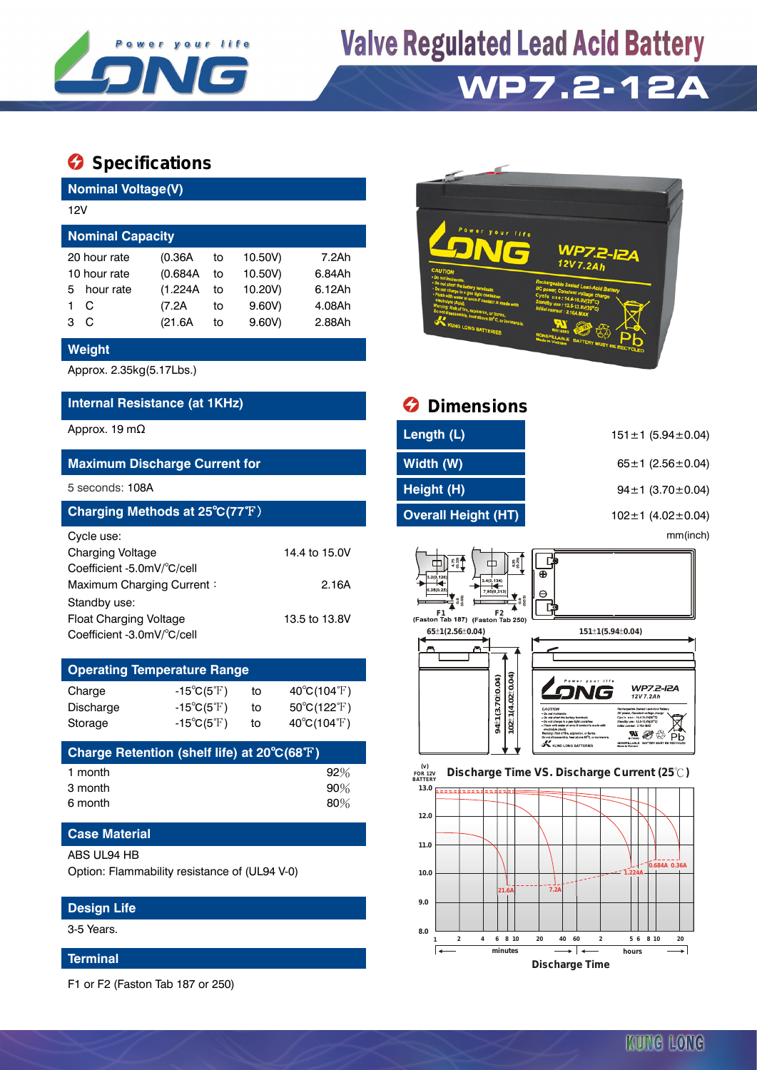

## **Valve Regulated Lead Acid Battery**

## **WP7.2-12A**

### **Specifications**

**Nominal Voltage(V)**

| <b>NUMBER VURGYE(V)</b> |              |          |    |         |        |  |  |  |  |
|-------------------------|--------------|----------|----|---------|--------|--|--|--|--|
| 12V                     |              |          |    |         |        |  |  |  |  |
| <b>Nominal Capacity</b> |              |          |    |         |        |  |  |  |  |
|                         | 20 hour rate | (0.36A)  | to | 10.50V) | 7.2Ah  |  |  |  |  |
| 10 hour rate            |              | (0.684A) | to | 10.50V) | 6.84Ah |  |  |  |  |
| 5.                      | hour rate    | (1.224A  | to | 10.20V) | 6.12Ah |  |  |  |  |
|                         | C            | (7.2A    | to | 9.60V   | 4.08Ah |  |  |  |  |
| 3                       | C            | (21.6A)  | to | 9.60V   | 2.88Ah |  |  |  |  |
|                         |              |          |    |         |        |  |  |  |  |

#### **Weight**

Approx. 2.35kg(5.17Lbs.)

#### **Internal Resistance (at 1KHz)**

#### **Maximum Discharge Current for**

#### 5 seconds: 108A

| Charging Methods at 25°C(77°F) |               |
|--------------------------------|---------------|
| Cycle use:                     |               |
| <b>Charging Voltage</b>        | 14.4 to 15.0V |
| Coefficient -5.0mV/°C/cell     |               |
| Maximum Charging Current:      | 2.16A         |
| Standby use:                   |               |
| <b>Float Charging Voltage</b>  | 13.5 to 13.8V |
| Coefficient -3.0mV/°C/cell     |               |

### **Operating Temperature Range** Charge  $-15^{\circ}C(5^{\circ}F)$  to  $40^{\circ}C(104^{\circ}F)$

| Discharge | -15 $^{\circ}$ C(5 $^{\circ}$ F) | to | $50^{\circ}$ C(122 $^{\circ}$ F) |
|-----------|----------------------------------|----|----------------------------------|
| Storage   | $-15^{\circ}C(5^{\circ}F)$       | to | $40^{\circ}$ C(104 $^{\circ}$ F) |
|           |                                  |    |                                  |

| Charge Retention (shelf life) at 20°C(68°F) |        |
|---------------------------------------------|--------|
| 1 month                                     | 92%    |
| 3 month                                     | 90%    |
| 6 month                                     | $80\%$ |

#### **Case Material**

#### ABS UL94 HB

Option: Flammability resistance of (UL94 V-0)

#### **Design Life**

3-5 Years.

#### **Terminal**

F1 or F2 (Faston Tab 187 or 250)



| Internal Resistance (at 1KHz)                                                                                                                                     |                                                                                        |                |                                                                                | <b>Dimensions</b>                                                                                                                    |                                                                                                                                                                                                                                                                                                                                                                                                                                                                                         |  |  |  |
|-------------------------------------------------------------------------------------------------------------------------------------------------------------------|----------------------------------------------------------------------------------------|----------------|--------------------------------------------------------------------------------|--------------------------------------------------------------------------------------------------------------------------------------|-----------------------------------------------------------------------------------------------------------------------------------------------------------------------------------------------------------------------------------------------------------------------------------------------------------------------------------------------------------------------------------------------------------------------------------------------------------------------------------------|--|--|--|
| Approx. 19 m $\Omega$                                                                                                                                             |                                                                                        |                |                                                                                | Length (L)                                                                                                                           | $151 \pm 1$ (5.94 $\pm$ 0.04)                                                                                                                                                                                                                                                                                                                                                                                                                                                           |  |  |  |
|                                                                                                                                                                   | <b>Maximum Discharge Current for</b>                                                   |                |                                                                                | Width (W)                                                                                                                            | 65 ± 1 $(2.56 \pm 0.04)$                                                                                                                                                                                                                                                                                                                                                                                                                                                                |  |  |  |
| 5 seconds: 108A                                                                                                                                                   |                                                                                        |                |                                                                                | Height (H)                                                                                                                           | 94±1 (3.70±0.04)                                                                                                                                                                                                                                                                                                                                                                                                                                                                        |  |  |  |
|                                                                                                                                                                   | Charging Methods at 25 $^{\circ}$ C(77 $^{\circ}$ F)                                   |                |                                                                                | <b>Overall Height (HT)</b>                                                                                                           | 102±1 (4.02±0.04)                                                                                                                                                                                                                                                                                                                                                                                                                                                                       |  |  |  |
| Cycle use:<br>Charging Voltage<br>Coefficient -5.0mV/°C/cell<br>Maximum Charging Current:<br>Standby use:<br>Float Charging Voltage<br>Coefficient -3.0mV/°C/cell |                                                                                        |                | 14.4 to 15.0V<br>2.16A<br>13.5 to 13.8V                                        | $6.35$<br>$(0.25)$<br>中<br>3.2(0.126)<br>3.4(0,134)<br>3.560.25<br>795(0.313<br>(Faston Tab 187) (Faston Tab 250)<br>65±1(2.56±0.04) | mm(inch)<br>[堇<br>Θ<br>151±1(5.94±0.04)                                                                                                                                                                                                                                                                                                                                                                                                                                                 |  |  |  |
|                                                                                                                                                                   | <b>Operating Temperature Range</b>                                                     |                |                                                                                |                                                                                                                                      |                                                                                                                                                                                                                                                                                                                                                                                                                                                                                         |  |  |  |
| Charge<br>Discharge<br>Storage                                                                                                                                    | $-15^{\circ}C(5^{\circ}F)$<br>$-15^{\circ}C(5^{\circ}F)$<br>$-15^{\circ}C(5^{\circ}F)$ | to<br>to<br>to | 40°C(104°F)<br>$50^{\circ}$ C(122 $^{\circ}$ F)<br>$40^{\circ}C(104^{\circ}F)$ | $\pm$ 1(4.02 $\pm$ 0.04)<br>94±1(3.70±0.04)<br>8                                                                                     | <b>WP7.2-I2A</b><br>12V7.2Ah<br>CAUTION<br>Rechemetale Sealed Lead-Acid Ratte<br>· Do not incluster<br>DC reason Constant veitare ch<br>Cycle use: 14.4-15.0V(25°C)<br>Do ant short the barrery trominal<br>Do not charge in a gas right container.<br>Standby use: 13.5-13.89125°C<br>Flosh with water at once if contact is made with<br>Milel cenned: 2.16A MAX<br>Varnine: Risk of fire, exclosion, or haras<br>Рb<br>Do not disassemble, heat above 58 <sup>8</sup> C, or lookerat |  |  |  |
|                                                                                                                                                                   | Charge Retention (shelf life) at 20°C(68°F)                                            |                |                                                                                |                                                                                                                                      | <b>KUNG LONG BATTERIES</b><br>NONSERLABLE BATTERY MUST BE RECYCLE                                                                                                                                                                                                                                                                                                                                                                                                                       |  |  |  |
| 1 month                                                                                                                                                           |                                                                                        |                | 92%                                                                            | (v)<br><b>FOR 12V</b>                                                                                                                | Discharge Time VS. Discharge Current (25°C)                                                                                                                                                                                                                                                                                                                                                                                                                                             |  |  |  |